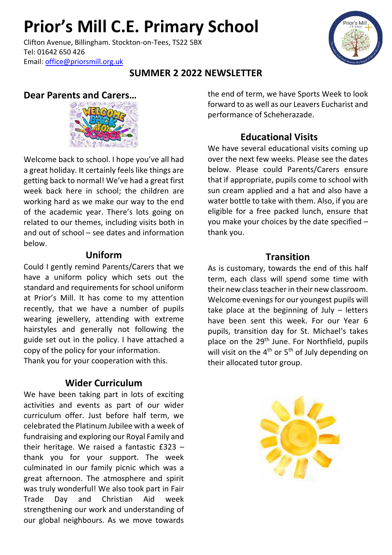# **Prior's Mill C.E. Primary School**

Clifton Avenue, Billingham. Stockton-on-Tees, TS22 5BX Tel: 01642 650 426 Email: [office@priorsmill.org.uk](mailto:office@priorsmill.org.uk)

### **SUMMER 2 2022 NEWSLETTER**

### **Dear Parents and Carers…**



Welcome back to school. I hope you've all had a great holiday. It certainly feels like things are getting back to normal! We've had a great first week back here in school; the children are working hard as we make our way to the end of the academic year. There's lots going on related to our themes, including visits both in and out of school – see dates and information below.

#### **Uniform**

Could I gently remind Parents/Carers that we have a uniform policy which sets out the standard and requirements for school uniform at Prior's Mill. It has come to my attention recently, that we have a number of pupils wearing jewellery, attending with extreme hairstyles and generally not following the guide set out in the policy. I have attached a copy of the policy for your information. Thank you for your cooperation with this.

#### **Wider Curriculum**

We have been taking part in lots of exciting activities and events as part of our wider curriculum offer. Just before half term, we celebrated the Platinum Jubilee with a week of fundraising and exploring our Royal Family and their heritage. We raised a fantastic £323 – thank you for your support. The week culminated in our family picnic which was a great afternoon. The atmosphere and spirit was truly wonderful! We also took part in Fair Trade Day and Christian Aid week strengthening our work and understanding of our global neighbours. As we move towards

the end of term, we have Sports Week to look forward to as well as our Leavers Eucharist and performance of Scheherazade.

#### **Educational Visits**

We have several educational visits coming up over the next few weeks. Please see the dates below. Please could Parents/Carers ensure that if appropriate, pupils come to school with sun cream applied and a hat and also have a water bottle to take with them. Also, if you are eligible for a free packed lunch, ensure that you make your choices by the date specified – thank you.

#### **Transition**

As is customary, towards the end of this half term, each class will spend some time with their new class teacher in their new classroom. Welcome evenings for our youngest pupils will take place at the beginning of July – letters have been sent this week. For our Year 6 pupils, transition day for St. Michael's takes place on the 29<sup>th</sup> June. For Northfield, pupils will visit on the  $4<sup>th</sup>$  or  $5<sup>th</sup>$  of July depending on their allocated tutor group.

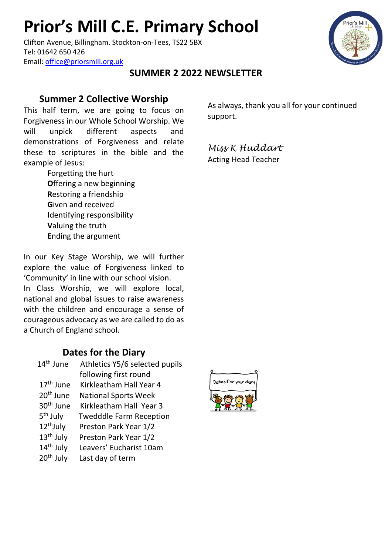# **Prior's Mill C.E. Primary School**

Clifton Avenue, Billingham. Stockton-on-Tees, TS22 5BX Tel: 01642 650 426 Email: [office@priorsmill.org.uk](mailto:office@priorsmill.org.uk)

### **SUMMER 2 2022 NEWSLETTER**

#### **Summer 2 Collective Worship**

This half term, we are going to focus on Forgiveness in our Whole School Worship. We will unpick different aspects and demonstrations of Forgiveness and relate these to scriptures in the bible and the example of Jesus:

> **F**orgetting the hurt **O**ffering a new beginning **R**estoring a friendship **G**iven and received **I**dentifying responsibility **V**aluing the truth **E**nding the argument

In our Key Stage Worship, we will further explore the value of Forgiveness linked to 'Community' in line with our school vision. In Class Worship, we will explore local, national and global issues to raise awareness with the children and encourage a sense of courageous advocacy as we are called to do as a Church of England school.

#### **Dates for the Diary**

14<sup>th</sup> June Athletics Y5/6 selected pupils following first round 17<sup>th</sup> June Kirkleatham Hall Year 4 20<sup>th</sup> June National Sports Week 30<sup>th</sup> June Kirkleatham Hall Year 3 5<sup>th</sup> July Twedddle Farm Reception 12<sup>th</sup>July Preston Park Year 1/2 13<sup>th</sup> July Preston Park Year 1/2 14<sup>th</sup> July Leavers' Eucharist 10am 20<sup>th</sup> July Last day of term

As always, thank you all for your continued support.

*Miss K Huddart* Acting Head Teacher